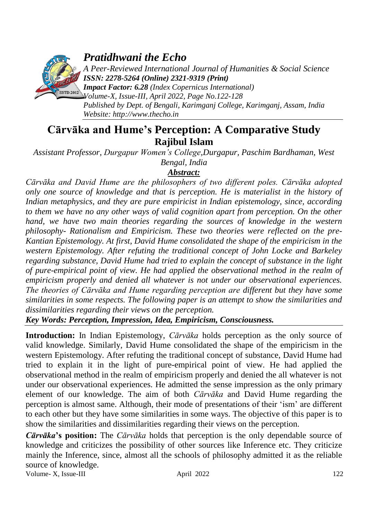

*Pratidhwani the Echo*

*A Peer-Reviewed International Journal of Humanities & Social Science ISSN: 2278-5264 (Online) 2321-9319 (Print)*

*Impact Factor: 6.28 (Index Copernicus International) Volume-X, Issue-III, April 2022, Page No.122-128 Published by Dept. of Bengali, Karimganj College, Karimganj, Assam, India Website: [http://www.thecho.in](http://www.thecho.in/)*

# **Cārvāka and Hume's Perception: A Comparative Study Rajibul Islam**

*Assistant Professor, Durgapur Women's College,Durgapur, Paschim Bardhaman, West Bengal, India*

# *Abstract:*

*Cārvāka and David Hume are the philosophers of two different poles. Cārvāka adopted only one source of knowledge and that is perception. He is materialist in the history of Indian metaphysics, and they are pure empiricist in Indian epistemology, since, according*  to them we have no any other ways of valid cognition apart from perception. On the other *hand, we have two main theories regarding the sources of knowledge in the western philosophy- Rationalism and Empiricism. These two theories were reflected on the pre-Kantian Epistemology. At first, David Hume consolidated the shape of the empiricism in the western Epistemology. After refuting the traditional concept of John Locke and Barkeley regarding substance, David Hume had tried to explain the concept of substance in the light of pure-empirical point of view. He had applied the observational method in the realm of empiricism properly and denied all whatever is not under our observational experiences. The theories of Cārvāka and Hume regarding perception are different but they have some similarities in some respects. The following paper is an attempt to show the similarities and dissimilarities regarding their views on the perception.*

*Key Words: Perception, Impression, Idea, Empiricism, Consciousness.*

**Introduction:** In Indian Epistemology, *Cārvāka* holds perception as the only source of valid knowledge. Similarly, David Hume consolidated the shape of the empiricism in the western Epistemology. After refuting the traditional concept of substance, David Hume had tried to explain it in the light of pure-empirical point of view. He had applied the observational method in the realm of empiricism properly and denied the all whatever is not under our observational experiences. He admitted the sense impression as the only primary element of our knowledge. The aim of both *Cārvāka* and David Hume regarding the perception is almost same. Although, their mode of presentations of their "ism" are different to each other but they have some similarities in some ways. The objective of this paper is to show the similarities and dissimilarities regarding their views on the perception.

Volume- X, Issue-III and April 2022 122 *Cārvāka***'s position:** The *Cārvāka* holds that perception is the only dependable source of knowledge and criticizes the possibility of other sources like Inference etc. They criticize mainly the Inference, since, almost all the schools of philosophy admitted it as the reliable source of knowledge.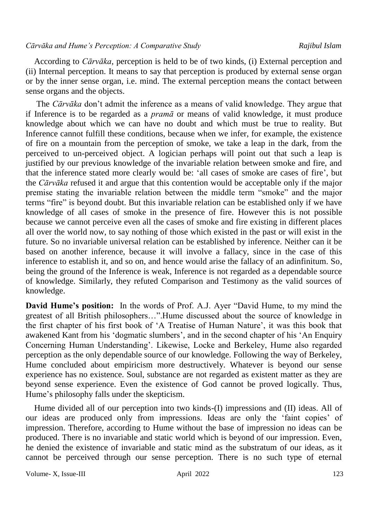According to *Cārvāka,* perception is held to be of two kinds, (i) External perception and (ii) Internal perception. It means to say that perception is produced by external sense organ or by the inner sense organ, i.e. mind. The external perception means the contact between sense organs and the objects.

 The *Cārvāka* don"t admit the inference as a means of valid knowledge. They argue that if Inference is to be regarded as a *pramā* or means of valid knowledge, it must produce knowledge about which we can have no doubt and which must be true to reality. But Inference cannot fulfill these conditions, because when we infer, for example, the existence of fire on a mountain from the perception of smoke, we take a leap in the dark, from the perceived to un-perceived object. A logician perhaps will point out that such a leap is justified by our previous knowledge of the invariable relation between smoke and fire, and that the inference stated more clearly would be: "all cases of smoke are cases of fire", but the *Cārvāka* refused it and argue that this contention would be acceptable only if the major premise stating the invariable relation between the middle term "smoke" and the major terms "fire" is beyond doubt. But this invariable relation can be established only if we have knowledge of all cases of smoke in the presence of fire. However this is not possible because we cannot perceive even all the cases of smoke and fire existing in different places all over the world now, to say nothing of those which existed in the past or will exist in the future. So no invariable universal relation can be established by inference. Neither can it be based on another inference, because it will involve a fallacy, since in the case of this inference to establish it, and so on, and hence would arise the fallacy of an adinfinitum. So, being the ground of the Inference is weak, Inference is not regarded as a dependable source of knowledge. Similarly, they refuted Comparison and Testimony as the valid sources of knowledge.

**David Hume's position:** In the words of Prof. A.J. Ayer "David Hume, to my mind the greatest of all British philosophers…".Hume discussed about the source of knowledge in the first chapter of his first book of "A Treatise of Human Nature", it was this book that awakened Kant from his "dogmatic slumbers", and in the second chapter of his "An Enquiry Concerning Human Understanding". Likewise, Locke and Berkeley, Hume also regarded perception as the only dependable source of our knowledge. Following the way of Berkeley, Hume concluded about empiricism more destructively. Whatever is beyond our sense experience has no existence. Soul, substance are not regarded as existent matter as they are beyond sense experience. Even the existence of God cannot be proved logically. Thus, Hume's philosophy falls under the skepticism.

 Hume divided all of our perception into two kinds-(I) impressions and (II) ideas. All of our ideas are produced only from impressions. Ideas are only the "faint copies" of impression. Therefore, according to Hume without the base of impression no ideas can be produced. There is no invariable and static world which is beyond of our impression. Even, he denied the existence of invariable and static mind as the substratum of our ideas, as it cannot be perceived through our sense perception. There is no such type of eternal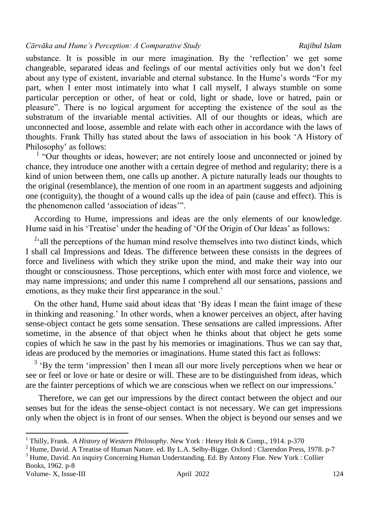#### *Cārvāka and Hume's Perception: A Comparative Study Rajibul Islam*

substance. It is possible in our mere imagination. By the "reflection" we get some changeable, separated ideas and feelings of our mental activities only but we don"t feel about any type of existent, invariable and eternal substance. In the Hume's words "For my part, when I enter most intimately into what I call myself, I always stumble on some particular perception or other, of heat or cold, light or shade, love or hatred, pain or pleasure". There is no logical argument for accepting the existence of the soul as the substratum of the invariable mental activities. All of our thoughts or ideas, which are unconnected and loose, assemble and relate with each other in accordance with the laws of thoughts. Frank Thilly has stated about the laws of association in his book "A History of Philosophy' as follows:

<sup>1</sup> "Our thoughts or ideas, however; are not entirely loose and unconnected or joined by chance, they introduce one another with a certain degree of method and regularity; there is a kind of union between them, one calls up another. A picture naturally leads our thoughts to the original (resemblance), the mention of one room in an apartment suggests and adjoining one (contiguity), the thought of a wound calls up the idea of pain (cause and effect). This is the phenomenon called "association of ideas"".

 According to Hume, impressions and ideas are the only elements of our knowledge. Hume said in his 'Treatise' under the heading of 'Of the Origin of Our Ideas' as follows:

<sup>2</sup>all the perceptions of the human mind resolve themselves into two distinct kinds, which I shall cal Impressions and Ideas. The difference between these consists in the degrees of force and liveliness with which they strike upon the mind, and make their way into our thought or consciousness. Those perceptions, which enter with most force and violence, we may name impressions; and under this name I comprehend all our sensations, passions and emotions, as they make their first appearance in the soul.'

 On the other hand, Hume said about ideas that "By ideas I mean the faint image of these in thinking and reasoning." In other words, when a knower perceives an object, after having sense-object contact he gets some sensation. These sensations are called impressions. After sometime, in the absence of that object when he thinks about that object he gets some copies of which he saw in the past by his memories or imaginations. Thus we can say that, ideas are produced by the memories or imaginations. Hume stated this fact as follows:

 $3 \text{ }$  'By the term 'impression' then I mean all our more lively perceptions when we hear or see or feel or love or hate or desire or will. These are to be distinguished from ideas, which are the fainter perceptions of which we are conscious when we reflect on our impressions.'

 Therefore, we can get our impressions by the direct contact between the object and our senses but for the ideas the sense-object contact is not necessary. We can get impressions only when the object is in front of our senses. When the object is beyond our senses and we

<sup>3</sup> Hume, David. An inquiry Concerning Human Understanding. Ed. By Antony Flue. New York : Collier Books, 1962. p-8

 $\overline{\phantom{a}}$ 

<sup>1</sup> Thilly, Frank. *A History of Western Philosophy*. New York : Henry Holt & Comp., 1914. p-370

<sup>2</sup> Hume, David. A Treatise of Human Nature. ed. By L.A. Selby-Bigge. Oxford : Clarendon Press, 1978. p-7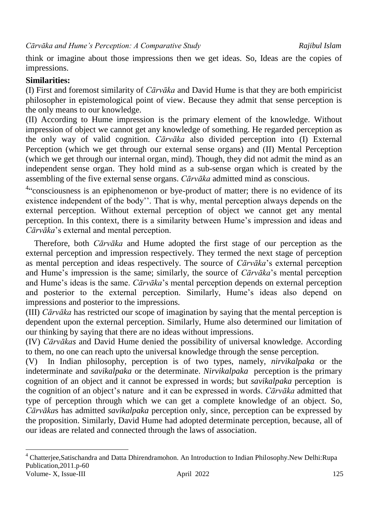think or imagine about those impressions then we get ideas. So, Ideas are the copies of impressions.

# **Similarities:**

(I) First and foremost similarity of *Cārvāka* and David Hume is that they are both empiricist philosopher in epistemological point of view. Because they admit that sense perception is the only means to our knowledge.

(II) According to Hume impression is the primary element of the knowledge. Without impression of object we cannot get any knowledge of something. He regarded perception as the only way of valid cognition. *Cārvāka* also divided perception into (I) External Perception (which we get through our external sense organs) and (II) Mental Perception (which we get through our internal organ, mind). Though, they did not admit the mind as an independent sense organ. They hold mind as a sub-sense organ which is created by the assembling of the five external sense organs. *Cārvāka* admitted mind as conscious.

<sup>4</sup>"consciousness is an epiphenomenon or bye-product of matter; there is no evidence of its existence independent of the body". That is why, mental perception always depends on the external perception. Without external perception of object we cannot get any mental perception. In this context, there is a similarity between Hume"s impression and ideas and *Cārvāka*"s external and mental perception.

 Therefore, both *Cārvāka* and Hume adopted the first stage of our perception as the external perception and impression respectively. They termed the next stage of perception as mental perception and ideas respectively. The source of *Cārvāka*"s external perception and Hume"s impression is the same; similarly, the source of *Cārvāka*"s mental perception and Hume"s ideas is the same. *Cārvāka*"s mental perception depends on external perception and posterior to the external perception. Similarly, Hume"s ideas also depend on impressions and posterior to the impressions.

(III) *Cārvāka* has restricted our scope of imagination by saying that the mental perception is dependent upon the external perception. Similarly, Hume also determined our limitation of our thinking by saying that there are no ideas without impressions.

(IV) *Cārvākas* and David Hume denied the possibility of universal knowledge. According to them, no one can reach upto the universal knowledge through the sense perception.

(V) In Indian philosophy, perception is of two types, namely, *nirvikalpaka* or the indeterminate and *savikalpaka* or the determinate. *Nirvikalpaka* perception is the primary cognition of an object and it cannot be expressed in words; but *savikalpaka* perception is the cognition of an object"s nature and it can be expressed in words. *Cārvāka* admitted that type of perception through which we can get a complete knowledge of an object. So, *Cārvāka*s has admitted *savikalpaka* perception only, since, perception can be expressed by the proposition. Similarly, David Hume had adopted determinate perception, because, all of our ideas are related and connected through the laws of association.

 $\overline{a}$ 

Volume- X, Issue-III april 2022 April 2022 125 <sup>4</sup> Chatterjee,Satischandra and Datta Dhirendramohon. An Introduction to Indian Philosophy.New Delhi:Rupa Publication,2011.p-60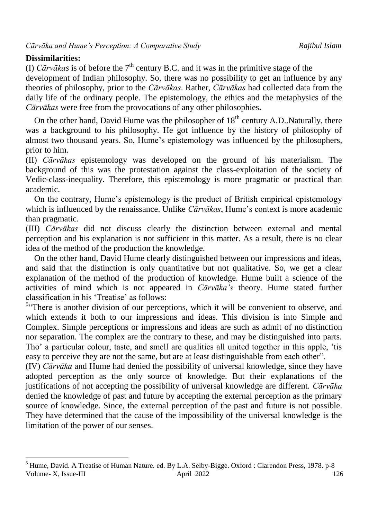## **Dissimilarities:**

(I) *Cārvākas* is of before the  $7<sup>th</sup>$  century B.C. and it was in the primitive stage of the development of Indian philosophy. So, there was no possibility to get an influence by any theories of philosophy, prior to the *Cārvākas*. Rather, *Cārvākas* had collected data from the daily life of the ordinary people. The epistemology, the ethics and the metaphysics of the *Cārvākas* were free from the provocations of any other philosophies.

On the other hand, David Hume was the philosopher of  $18<sup>th</sup>$  century A.D..Naturally, there was a background to his philosophy. He got influence by the history of philosophy of almost two thousand years. So, Hume"s epistemology was influenced by the philosophers, prior to him.

(II) *Cārvākas* epistemology was developed on the ground of his materialism. The background of this was the protestation against the class-exploitation of the society of Vedic-class-inequality. Therefore, this epistemology is more pragmatic or practical than academic.

 On the contrary, Hume"s epistemology is the product of British empirical epistemology which is influenced by the renaissance. Unlike *Cārvākas*, Hume's context is more academic than pragmatic.

(III) *Cārvākas* did not discuss clearly the distinction between external and mental perception and his explanation is not sufficient in this matter. As a result, there is no clear idea of the method of the production the knowledge.

 On the other hand, David Hume clearly distinguished between our impressions and ideas, and said that the distinction is only quantitative but not qualitative. So, we get a clear explanation of the method of the production of knowledge. Hume built a science of the activities of mind which is not appeared in *Cārvāka's* theory. Hume stated further classification in his 'Treatise' as follows:

<sup>5</sup>"There is another division of our perceptions, which it will be convenient to observe, and which extends it both to our impressions and ideas. This division is into Simple and Complex. Simple perceptions or impressions and ideas are such as admit of no distinction nor separation. The complex are the contrary to these, and may be distinguished into parts. Tho" a particular colour, taste, and smell are qualities all united together in this apple, "tis easy to perceive they are not the same, but are at least distinguishable from each other".

(IV) *Cārvāka* and Hume had denied the possibility of universal knowledge, since they have adopted perception as the only source of knowledge. But their explanations of the justifications of not accepting the possibility of universal knowledge are different. *Cārvāka* denied the knowledge of past and future by accepting the external perception as the primary source of knowledge. Since, the external perception of the past and future is not possible. They have determined that the cause of the impossibility of the universal knowledge is the limitation of the power of our senses.

Volume- X, Issue-III and April 2022 126  $\overline{\phantom{a}}$ <sup>5</sup> Hume, David. A Treatise of Human Nature. ed. By L.A. Selby-Bigge. Oxford : Clarendon Press, 1978. p-8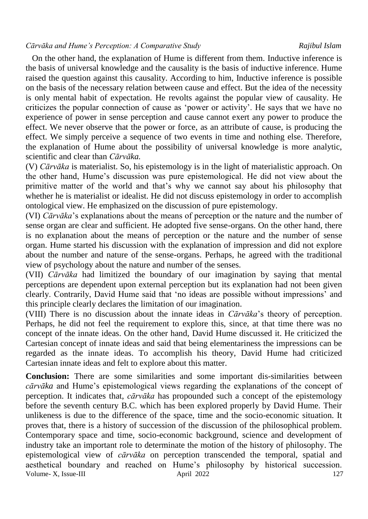#### *Cārvāka and Hume's Perception: A Comparative Study Rajibul Islam*

 On the other hand, the explanation of Hume is different from them. Inductive inference is the basis of universal knowledge and the causality is the basis of inductive inference. Hume raised the question against this causality. According to him, Inductive inference is possible on the basis of the necessary relation between cause and effect. But the idea of the necessity is only mental habit of expectation. He revolts against the popular view of causality. He criticizes the popular connection of cause as "power or activity". He says that we have no experience of power in sense perception and cause cannot exert any power to produce the effect. We never observe that the power or force, as an attribute of cause, is producing the effect. We simply perceive a sequence of two events in time and nothing else. Therefore, the explanation of Hume about the possibility of universal knowledge is more analytic, scientific and clear than *Cārvāka.*

(V) *Cārvāka* is materialist. So, his epistemology is in the light of materialistic approach. On the other hand, Hume"s discussion was pure epistemological. He did not view about the primitive matter of the world and that"s why we cannot say about his philosophy that whether he is materialist or idealist. He did not discuss epistemology in order to accomplish ontological view. He emphasized on the discussion of pure epistemology.

(VI) *Cārvāka*"s explanations about the means of perception or the nature and the number of sense organ are clear and sufficient. He adopted five sense-organs. On the other hand, there is no explanation about the means of perception or the nature and the number of sense organ. Hume started his discussion with the explanation of impression and did not explore about the number and nature of the sense-organs. Perhaps, he agreed with the traditional view of psychology about the nature and number of the senses.

(VII) *Cārvāka* had limitized the boundary of our imagination by saying that mental perceptions are dependent upon external perception but its explanation had not been given clearly. Contrarily, David Hume said that "no ideas are possible without impressions" and this principle clearly declares the limitation of our imagination.

(VIII) There is no discussion about the innate ideas in *Cārvāka*"s theory of perception. Perhaps, he did not feel the requirement to explore this, since, at that time there was no concept of the innate ideas. On the other hand, David Hume discussed it. He criticized the Cartesian concept of innate ideas and said that being elementariness the impressions can be regarded as the innate ideas. To accomplish his theory, David Hume had criticized Cartesian innate ideas and felt to explore about this matter.

Volume- X, Issue-III april 2022 127 **Conclusion:** There are some similarities and some important dis-similarities between *cārvāka* and Hume"s epistemological views regarding the explanations of the concept of perception. It indicates that, *cārvāka* has propounded such a concept of the epistemology before the seventh century B.C. which has been explored properly by David Hume. Their unlikeness is due to the difference of the space, time and the socio-economic situation. It proves that, there is a history of succession of the discussion of the philosophical problem. Contemporary space and time, socio-economic background, science and development of industry take an important role to determinate the motion of the history of philosophy. The epistemological view of *cārvāka* on perception transcended the temporal, spatial and aesthetical boundary and reached on Hume"s philosophy by historical succession.